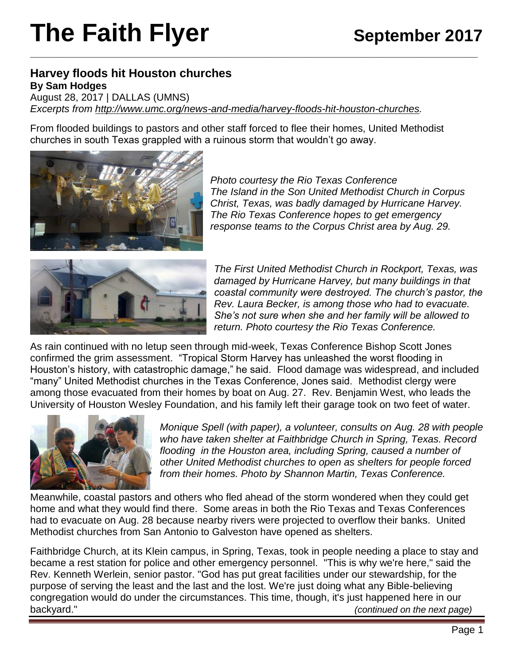## **Harvey floods hit Houston churches By Sam Hodges**

August 28, 2017 | DALLAS (UMNS) *Excerpts from [http://www.umc.org/news-and-media/harvey-floods-hit-houston-churches.](http://www.umc.org/news-and-media/harvey-floods-hit-houston-churches)*

From flooded buildings to pastors and other staff forced to flee their homes, United Methodist churches in south Texas grappled with a ruinous storm that wouldn't go away.



*Photo courtesy the Rio Texas Conference The Island in the Son United Methodist Church in Corpus Christ, Texas, was badly damaged by Hurricane Harvey. The Rio Texas Conference hopes to get emergency response teams to the Corpus Christ area by Aug. 29.* 



*The First United Methodist Church in Rockport, Texas, was damaged by Hurricane Harvey, but many buildings in that coastal community were destroyed. The church's pastor, the Rev. Laura Becker, is among those who had to evacuate. She's not sure when she and her family will be allowed to return. Photo courtesy the Rio Texas Conference.*

As rain continued with no letup seen through mid-week, Texas Conference Bishop Scott Jones confirmed the grim assessment. "Tropical Storm Harvey has unleashed the worst flooding in Houston's history, with catastrophic damage," he said. Flood damage was widespread, and included "many" United Methodist churches in the Texas Conference, Jones said. [Methodist clergy were](http://www.umc.org/news-and-media/responding-to-harveys-wreckage)  [among those evacuated](http://www.umc.org/news-and-media/responding-to-harveys-wreckage) from their homes by boat on Aug. 27. Rev. Benjamin West, who leads the University of Houston Wesley Foundation, and his family left their garage took on two feet of water.



*Monique Spell (with paper), a volunteer, consults on Aug. 28 with people who have taken shelter at Faithbridge Church in Spring, Texas. Record flooding in the Houston area, including Spring, caused a number of other United Methodist churches to open as shelters for people forced from their homes. Photo by Shannon Martin, Texas Conference.*

Meanwhile, coastal pastors and others who fled ahead of the storm wondered when they could get home and what they would find there. Some areas in both the Rio Texas and Texas Conferences had to evacuate on Aug. 28 because nearby rivers were projected to overflow their banks. United Methodist churches from San Antonio to Galveston have opened as shelters.

Faithbridge Church, at its Klein campus, in Spring, Texas, took in people needing a place to stay and became a rest station for police and other emergency personnel. "This is why we're here," said the Rev. Kenneth Werlein, senior pastor. "God has put great facilities under our stewardship, for the purpose of serving the least and the last and the lost. We're just doing what any Bible-believing congregation would do under the circumstances. This time, though, it's just happened here in our backyard." *(continued on the next page)*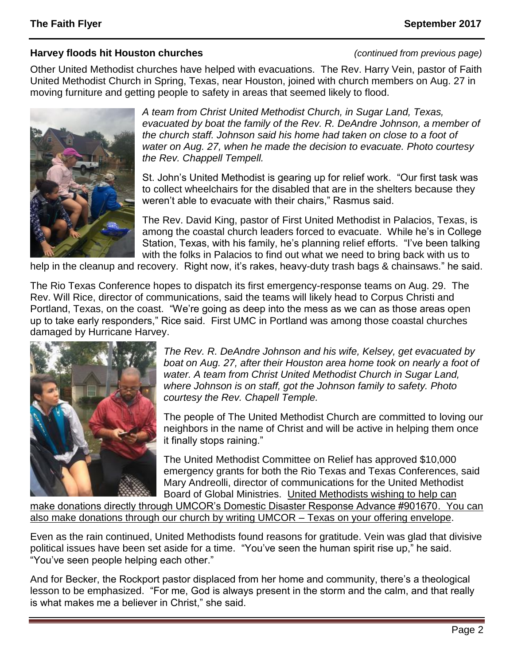#### **Harvey floods hit Houston churches** *(continued from previous page)*

Other United Methodist churches have helped with evacuations. The Rev. Harry Vein, pastor of Faith United Methodist Church in Spring, Texas, near Houston, joined with church members on Aug. 27 in moving furniture and getting people to safety in areas that seemed likely to flood.



*A team from Christ United Methodist Church, in Sugar Land, Texas, evacuated by boat the family of the Rev. R. DeAndre Johnson, a member of the church staff. Johnson said his home had taken on close to a foot of water on Aug. 27, when he made the decision to evacuate. Photo courtesy the Rev. Chappell Tempell.*

St. John's United Methodist is gearing up for relief work. "Our first task was to collect wheelchairs for the disabled that are in the shelters because they weren't able to evacuate with their chairs," Rasmus said.

The Rev. David King, pastor of First United Methodist in Palacios, Texas, is among the coastal church leaders forced to evacuate. While he's in College Station, Texas, with his family, he's planning relief efforts. "I've been talking with the folks in Palacios to find out what we need to bring back with us to

help in the cleanup and recovery. Right now, it's rakes, heavy-duty trash bags & chainsaws." he said.

The Rio Texas Conference hopes to dispatch its first emergency-response teams on Aug. 29. The Rev. Will Rice, director of communications, said the teams will likely head to Corpus Christi and Portland, Texas, on the coast. "We're going as deep into the mess as we can as those areas open up to take early responders," Rice said. First UMC in Portland [was among those coastal churches](https://riotexas.org/harvey-blog/2017/8/27/church-damage-reports)  [damaged by Hurricane Harvey.](https://riotexas.org/harvey-blog/2017/8/27/church-damage-reports)



*The Rev. R. DeAndre Johnson and his wife, Kelsey, get evacuated by boat on Aug. 27, after their Houston area home took on nearly a foot of water. A team from Christ United Methodist Church in Sugar Land, where Johnson is on staff, got the Johnson family to safety. Photo courtesy the Rev. Chapell Temple.*

The people of The United Methodist Church are committed to loving our neighbors in the name of Christ and will be active in helping them once it finally stops raining."

The United Methodist Committee on Relief has approved \$10,000 emergency grants for both the Rio Texas and Texas Conferences, said Mary Andreolli, director of communications for the United Methodist Board of Global Ministries. United Methodists wishing to help [can](https://secure3.convio.net/gbgm/site/SPageNavigator/umcor_donate.html?type=1002&project=901670) 

[make donations directly through UMCOR's Domestic Disaster Response Advance #901670.](https://secure3.convio.net/gbgm/site/SPageNavigator/umcor_donate.html?type=1002&project=901670) You can also make donations through our church by writing UMCOR – Texas on your offering envelope.

Even as the rain continued, United Methodists found reasons for gratitude. Vein was glad that divisive political issues have been set aside for a time. "You've seen the human spirit rise up," he said. "You've seen people helping each other."

And for Becker, the Rockport pastor displaced from her home and community, there's a theological lesson to be emphasized. "For me, God is always present in the storm and the calm, and that really is what makes me a believer in Christ," she said.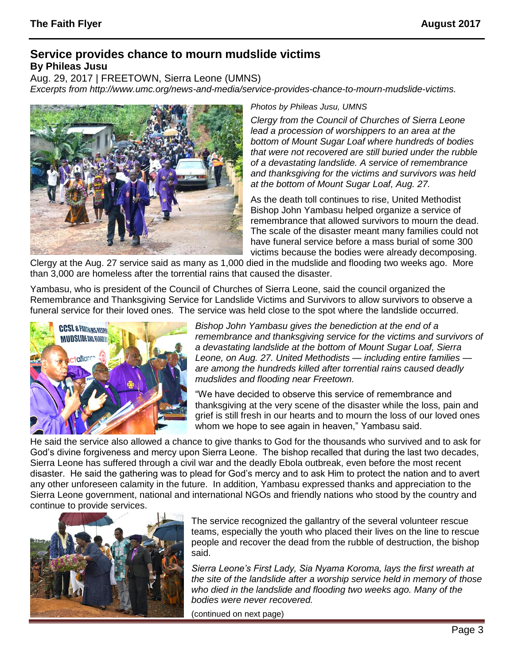#### **Service provides chance to mourn mudslide victims By Phileas Jusu**

Aug. 29, 2017 | FREETOWN, Sierra Leone (UMNS) *Excerpts from http://www.umc.org/news-and-media/service-provides-chance-to-mourn-mudslide-victims.*



#### *Photos by Phileas Jusu, UMNS*

*Clergy from the Council of Churches of Sierra Leone lead a procession of worshippers to an area at the bottom of Mount Sugar Loaf where hundreds of bodies that were not recovered are still buried under the rubble of a devastating landslide. A service of remembrance and thanksgiving for the victims and survivors was held at the bottom of Mount Sugar Loaf, Aug. 27.* 

As the death toll continues to rise, United Methodist Bishop John Yambasu helped organize a service of remembrance that allowed survivors to mourn the dead. The scale of the disaster meant many families could not have funeral service before a mass burial of some 300 victims because the bodies were already decomposing.

Clergy at the Aug. 27 service said [as many as 1,000 died](https://www.usnews.com/news/world/articles/2017-08-27/local-leaders-say-1-000-dead-from-sierra-leone-mudslides) in the mudslide and flooding two weeks ago. More than 3,000 are homeless after the torrential rains that caused the disaster.

Yambasu, who is president of the Council of Churches of Sierra Leone, said the council organized the Remembrance and Thanksgiving Service for Landslide Victims and Survivors to allow survivors to observe a funeral service for their loved ones. The service was held close to the spot where the landslide occurred.



*Bishop John Yambasu gives the benediction at the end of a remembrance and thanksgiving service for the victims and survivors of a devastating landslide at the bottom of Mount Sugar Loaf, Sierra Leone, on Aug. 27. United Methodists — including entire families are among the hundreds killed after torrential rains caused deadly mudslides and flooding near Freetown.* 

"We have decided to observe this service of remembrance and thanksgiving at the very scene of the disaster while the loss, pain and grief is still fresh in our hearts and to mourn the loss of our loved ones whom we hope to see again in heaven," Yambasu said.

He said the service also allowed a chance to give thanks to God for the thousands who survived and to ask for God's divine forgiveness and mercy upon Sierra Leone. The bishop recalled that during the last two decades, Sierra Leone has suffered through a civil war and the deadly Ebola outbreak, even before the most recent disaster. He said the gathering was to plead for God's mercy and to ask Him to protect the nation and to avert any other unforeseen calamity in the future. In addition, Yambasu expressed thanks and appreciation to the Sierra Leone government, national and international NGOs and friendly nations who stood by the country and continue to provide services.



The service recognized the gallantry of the several volunteer rescue teams, especially the youth who placed their lives on the line to rescue people and recover the dead from the rubble of destruction, the bishop said.

*Sierra Leone's First Lady, Sia Nyama Koroma, lays the first wreath at the site of the landslide after a worship service held in memory of those who died in the landslide and flooding two weeks ago. Many of the bodies were never recovered.* 

(continued on next page)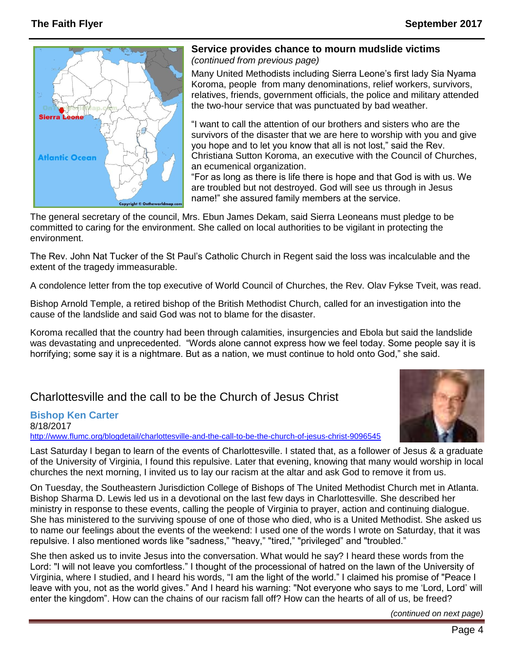

#### **Service provides chance to mourn mudslide victims** *(continued from previous page)*

Many United Methodists including Sierra Leone's first lady Sia Nyama Koroma, people from many denominations, relief workers, survivors, relatives, friends, government officials, the police and military attended the two-hour service that was punctuated by bad weather.

"I want to call the attention of our brothers and sisters who are the survivors of the disaster that we are here to worship with you and give you hope and to let you know that all is not lost," said the Rev. Christiana Sutton Koroma, an executive with the Council of Churches, an ecumenical organization.

"For as long as there is life there is hope and that God is with us. We are troubled but not destroyed. God will see us through in Jesus name!" she assured family members at the service.

The general secretary of the council, Mrs. Ebun James Dekam, said Sierra Leoneans must pledge to be committed to caring for the environment. She called on local authorities to be vigilant in protecting the environment.

The Rev. John Nat Tucker of the St Paul's Catholic Church in Regent said the loss was incalculable and the extent of the tragedy immeasurable.

A condolence letter from the top executive of World Council of Churches, the Rev. Olav Fykse Tveit, was read.

Bishop Arnold Temple, a retired bishop of the British Methodist Church, called for an investigation into the cause of the landslide and said God was not to blame for the disaster.

Koroma recalled that the country had been through calamities, insurgencies and Ebola but said the landslide was devastating and unprecedented. "Words alone cannot express how we feel today. Some people say it is horrifying; some say it is a nightmare. But as a nation, we must continue to hold onto God," she said.

# Charlottesville and the call to be the Church of Jesus Christ



**[Bishop Ken Carter](http://www.flumc.org/authordetail/650355)** 8/18/2017 <http://www.flumc.org/blogdetail/charlottesville-and-the-call-to-be-the-church-of-jesus-christ-9096545>

Last Saturday I began to learn of the events of Charlottesville. I stated that, as a follower of Jesus & a graduate of the University of Virginia, I found this repulsive. Later that evening, knowing that many would worship in local churches the next morning, I invited us to lay our racism at the altar and ask God to remove it from us.

On Tuesday, the Southeastern Jurisdiction College of Bishops of The United Methodist Church met in Atlanta. Bishop [Sharma D. Lewis](https://www.facebook.com/sharma.lewis.77?fref=mentions) led us in a devotional on the last few days in [Charlottesville.](https://www.facebook.com/hashtag/charlottesville?source=feed_text&story_id=10213785965353862) She described her ministry in response to these events, calling the people of Virginia to prayer, action and continuing dialogue. She has ministered to the surviving spouse of one of those who died, who is a United Methodist. She asked us to name our feelings about the events of the weekend: I used one of the words I wrote on Saturday, that it was repulsive. I also mentioned words like "sadness," "heavy," "tired," "privileged" and "troubled."

She then asked us to invite Jesus into the conversation. What would he say? I heard these words from the Lord: "I will not leave you comfortless." I thought of the processional of hatred on the lawn of the University of Virginia, where I studied, and I heard his words, "I am the light of the world." I claimed his promise of "Peace I leave with you, not as the world gives." And I heard his warning: "Not everyone who says to me 'Lord, Lord' will enter the kingdom". How can the chains of our racism fall off? How can the hearts of all of us, be freed?

*(continued on next page)*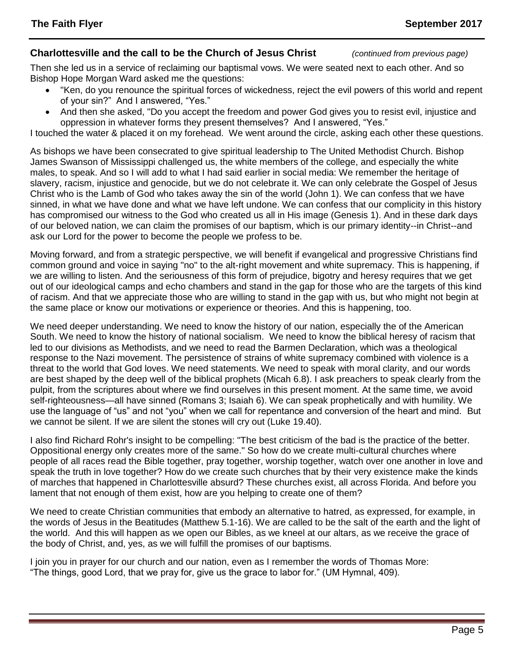#### **Charlottesville and the call to be the Church of Jesus Christ** *(continued from previous page)*

Then she led us in a service of reclaiming our baptismal vows. We were seated next to each other. And so Bishop Hope Morgan Ward asked me the questions:

- "Ken, do you renounce the spiritual forces of wickedness, reject the evil powers of this world and repent of your sin?" And I answered, "Yes."
- And then she asked, "Do you accept the freedom and power God gives you to resist evil, injustice and oppression in whatever forms they present themselves? And I answered, "Yes."

I touched the water & placed it on my forehead. We went around the circle, asking each other these questions.

As bishops we have been consecrated to give spiritual leadership to The United Methodist Church. Bishop James Swanson of Mississippi challenged us, the white members of the college, and especially the white males, to speak. And so I will add to what I had said earlier in social media: We remember the heritage of slavery, racism, injustice and genocide, but we do not celebrate it. We can only celebrate the Gospel of Jesus Christ who is the Lamb of God who takes away the sin of the world (John 1). We can confess that we have sinned, in what we have done and what we have left undone. We can confess that our complicity in this history has compromised our witness to the God who created us all in His image (Genesis 1). And in these dark days of our beloved nation, we can claim the promises of our baptism, which is our primary identity--in Christ--and ask our Lord for the power to become the people we profess to be.

Moving forward, and from a strategic perspective, we will benefit if evangelical and progressive Christians find common ground and voice in saying "no" to the alt-right movement and white supremacy. This is happening, if we are willing to listen. And the seriousness of this form of prejudice, bigotry and heresy requires that we get out of our ideological camps and echo chambers and stand in the gap for those who are the targets of this kind of racism. And that we appreciate those who are willing to stand in the gap with us, but who might not begin at the same place or know our motivations or experience or theories. And this is happening, too.

We need deeper understanding. We need to know the history of our nation, especially the of the American South. We need to know the history of national socialism. We need to know the biblical heresy of racism that led to our divisions as Methodists, and we need to read the Barmen Declaration, which was a theological response to the Nazi movement. The persistence of strains of white supremacy combined with violence is a threat to the world that God loves. We need statements. We need to speak with moral clarity, and our words are best shaped by the deep well of the biblical prophets (Micah 6.8). I ask preachers to speak clearly from the pulpit, from the scriptures about where we find ourselves in this present moment. At the same time, we avoid self-righteousness—all have sinned (Romans 3; Isaiah 6). We can speak prophetically and with humility. We use the language of "us" and not "you" when we call for repentance and conversion of the heart and mind. But we cannot be silent. If we are silent the stones will cry out (Luke 19.40).

I also find Richard Rohr's insight to be compelling: "The best criticism of the bad is the practice of the better. Oppositional energy only creates more of the same." So how do we create multi-cultural churches where people of all races read the Bible together, pray together, worship together, watch over one another in love and speak the truth in love together? How do we create such churches that by their very existence make the kinds of marches that happened in [Charlottesville](https://www.facebook.com/hashtag/charlottesville?source=feed_text&story_id=10213769611385023) absurd? These churches exist, all across Florida. And before you lament that not enough of them exist, how are you helping to create one of them?

We need to create Christian communities that embody an alternative to hatred, as expressed, for example, in the words of Jesus in the Beatitudes (Matthew 5.1-16). We are called to be the salt of the earth and the light of the world. And this will happen as we open our Bibles, as we kneel at our altars, as we receive the grace of the body of Christ, and, yes, as we will fulfill the promises of our baptisms.

I join you in prayer for our church and our nation, even as I remember the words of Thomas More: "The things, good Lord, that we pray for, give us the grace to labor for." (UM Hymnal, 409).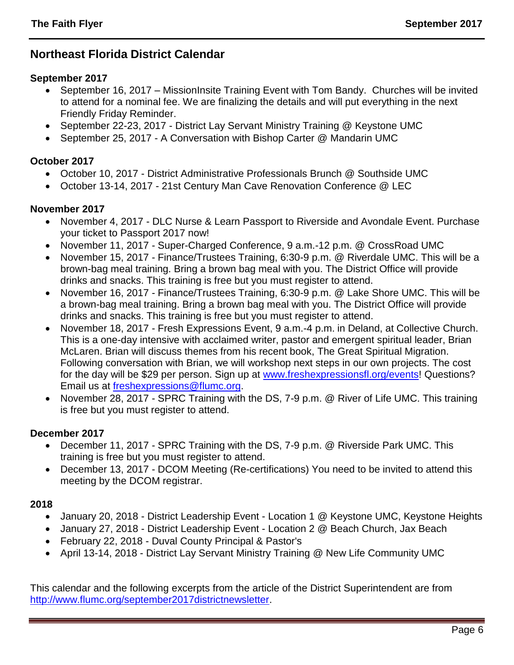# **Northeast Florida District Calendar**

#### **September 2017**

- September 16, 2017 MissionInsite Training Event with Tom Bandy. Churches will be invited to attend for a nominal fee. We are finalizing the details and will put everything in the next Friendly Friday Reminder.
- September 22-23, 2017 District Lay Servant Ministry Training @ Keystone UMC
- September 25, 2017 A Conversation with Bishop Carter @ Mandarin UMC

### **October 2017**

- October 10, 2017 District Administrative Professionals Brunch @ Southside UMC
- October 13-14, 2017 21st Century Man Cave Renovation Conference @ LEC

#### **November 2017**

- November 4, 2017 DLC Nurse & Learn Passport to Riverside and Avondale Event. Purchase your ticket to Passport 2017 now!
- November 11, 2017 Super-Charged Conference, 9 a.m.-12 p.m. @ CrossRoad UMC
- November 15, 2017 Finance/Trustees Training, 6:30-9 p.m. @ Riverdale UMC. This will be a brown-bag meal training. Bring a brown bag meal with you. The District Office will provide drinks and snacks. This training is free but you must register to attend.
- November 16, 2017 Finance/Trustees Training, 6:30-9 p.m. @ Lake Shore UMC. This will be a brown-bag meal training. Bring a brown bag meal with you. The District Office will provide drinks and snacks. This training is free but you must register to attend.
- November 18, 2017 Fresh Expressions Event, 9 a.m.-4 p.m. in Deland, at Collective Church. This is a one-day intensive with acclaimed writer, pastor and emergent spiritual leader, Brian McLaren. Brian will discuss themes from his recent book, The Great Spiritual Migration. Following conversation with Brian, we will workshop next steps in our own projects. The cost for the day will be \$29 per person. Sign up at [www.freshexpressionsfl.org/events!](https://www.freshexpressionsfl.org/events) Questions? Email us at [freshexpressions@flumc.org.](mailto:freshexpressions@flumc.org)
- November 28, 2017 SPRC Training with the DS, 7-9 p.m. @ River of Life UMC. This training is free but you must register to attend.

#### **December 2017**

- December 11, 2017 SPRC Training with the DS, 7-9 p.m. @ Riverside Park UMC. This training is free but you must register to attend.
- December 13, 2017 DCOM Meeting (Re-certifications) You need to be invited to attend this meeting by the DCOM registrar.

#### **2018**

- January 20, 2018 District Leadership Event Location 1 @ Keystone UMC, Keystone Heights
- January 27, 2018 District Leadership Event Location 2 @ Beach Church, Jax Beach
- February 22, 2018 Duval County Principal & Pastor's
- April 13-14, 2018 District Lay Servant Ministry Training @ New Life Community UMC

This calendar and the following excerpts from the article of the District Superintendent are from [http://www.flumc.org/september2017districtnewsletter.](http://www.flumc.org/september2017districtnewsletter)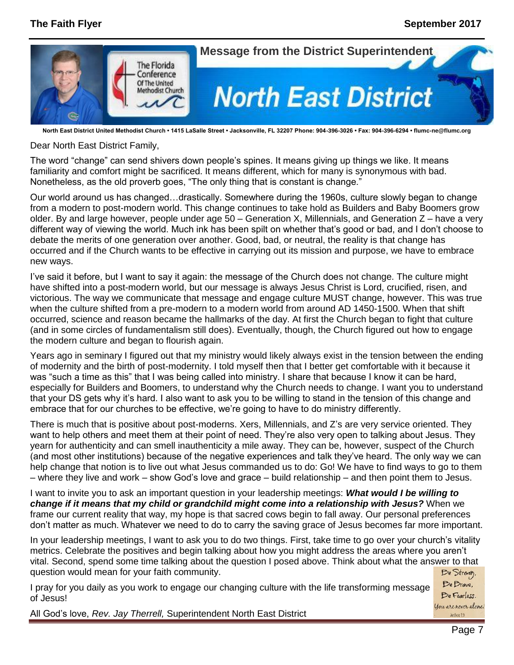

**North East District United Methodist Church • 1415 LaSalle Street • Jacksonville, FL 32207 Phone: 904-396-3026 • Fax: 904-396-6294 • flumc-ne@flumc.org**

Dear North East District Family,

The word "change" can send shivers down people's spines. It means giving up things we like. It means familiarity and comfort might be sacrificed. It means different, which for many is synonymous with bad. Nonetheless, as the old proverb goes, "The only thing that is constant is change."

Our world around us has changed…drastically. Somewhere during the 1960s, culture slowly began to change from a modern to post-modern world. This change continues to take hold as Builders and Baby Boomers grow older. By and large however, people under age 50 – Generation X, Millennials, and Generation Z – have a very different way of viewing the world. Much ink has been spilt on whether that's good or bad, and I don't choose to debate the merits of one generation over another. Good, bad, or neutral, the reality is that change has occurred and if the Church wants to be effective in carrying out its mission and purpose, we have to embrace new ways.

I've said it before, but I want to say it again: the message of the Church does not change. The culture might have shifted into a post-modern world, but our message is always Jesus Christ is Lord, crucified, risen, and victorious. The way we communicate that message and engage culture MUST change, however. This was true when the culture shifted from a pre-modern to a modern world from around AD 1450-1500. When that shift occurred, science and reason became the hallmarks of the day. At first the Church began to fight that culture (and in some circles of fundamentalism still does). Eventually, though, the Church figured out how to engage the modern culture and began to flourish again.

Years ago in seminary I figured out that my ministry would likely always exist in the tension between the ending of modernity and the birth of post-modernity. I told myself then that I better get comfortable with it because it was "such a time as this" that I was being called into ministry. I share that because I know it can be hard, especially for Builders and Boomers, to understand why the Church needs to change. I want you to understand that your DS gets why it's hard. I also want to ask you to be willing to stand in the tension of this change and embrace that for our churches to be effective, we're going to have to do ministry differently.

There is much that is positive about post-moderns. Xers, Millennials, and Z's are very service oriented. They want to help others and meet them at their point of need. They're also very open to talking about Jesus. They yearn for authenticity and can smell inauthenticity a mile away. They can be, however, suspect of the Church (and most other institutions) because of the negative experiences and talk they've heard. The only way we can help change that notion is to live out what Jesus commanded us to do: Go! We have to find ways to go to them – where they live and work – show God's love and grace – build relationship – and then point them to Jesus.

I want to invite you to ask an important question in your leadership meetings: *What would I be willing to change if it means that my child or grandchild might come into a relationship with Jesus?* When we frame our current reality that way, my hope is that sacred cows begin to fall away. Our personal preferences don't matter as much. Whatever we need to do to carry the saving grace of Jesus becomes far more important.

In your leadership meetings, I want to ask you to do two things. First, take time to go over your church's vitality metrics. Celebrate the positives and begin talking about how you might address the areas where you aren't vital. Second, spend some time talking about the question I posed above. Think about what the answer to that question would mean for your faith community. De Strono,

I pray for you daily as you work to engage our changing culture with the life transforming message of Jesus! You are never alone.

All God's love, *Rev. Jay Therrell,* Superintendent North East District

De Drave, De Fearless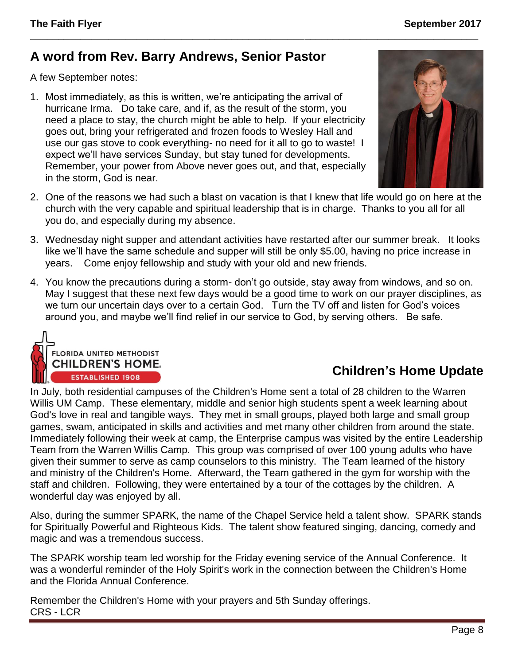# **A word from Rev. Barry Andrews, Senior Pastor**

A few September notes:

1. Most immediately, as this is written, we're anticipating the arrival of hurricane Irma. Do take care, and if, as the result of the storm, you need a place to stay, the church might be able to help. If your electricity goes out, bring your refrigerated and frozen foods to Wesley Hall and use our gas stove to cook everything- no need for it all to go to waste! I expect we'll have services Sunday, but stay tuned for developments. Remember, your power from Above never goes out, and that, especially in the storm, God is near.



2. One of the reasons we had such a blast on vacation is that I knew that life would go on here at the church with the very capable and spiritual leadership that is in charge. Thanks to you all for all you do, and especially during my absence.

**\_\_\_\_\_\_\_\_\_\_\_\_\_\_\_\_\_\_\_\_\_\_\_\_\_\_\_\_\_\_\_\_\_\_\_\_\_\_\_\_\_\_\_\_\_\_\_\_\_\_\_\_\_\_\_\_\_\_\_\_\_\_\_\_\_\_\_\_\_\_\_\_\_\_\_\_\_\_\_\_**

- 3. Wednesday night supper and attendant activities have restarted after our summer break. It looks like we'll have the same schedule and supper will still be only \$5.00, having no price increase in years. Come enjoy fellowship and study with your old and new friends.
- 4. You know the precautions during a storm- don't go outside, stay away from windows, and so on. May I suggest that these next few days would be a good time to work on our prayer disciplines, as we turn our uncertain days over to a certain God. Turn the TV off and listen for God's voices around you, and maybe we'll find relief in our service to God, by serving others. Be safe.



# **Children's Home Update**

In July, both residential campuses of the Children's Home sent a total of 28 children to the Warren Willis UM Camp. These elementary, middle and senior high students spent a week learning about God's love in real and tangible ways. They met in small groups, played both large and small group games, swam, anticipated in skills and activities and met many other children from around the state. Immediately following their week at camp, the Enterprise campus was visited by the entire Leadership Team from the Warren Willis Camp. This group was comprised of over 100 young adults who have given their summer to serve as camp counselors to this ministry. The Team learned of the history and ministry of the Children's Home. Afterward, the Team gathered in the gym for worship with the staff and children. Following, they were entertained by a tour of the cottages by the children. A wonderful day was enjoyed by all.

Also, during the summer SPARK, the name of the Chapel Service held a talent show. SPARK stands for Spiritually Powerful and Righteous Kids. The talent show featured singing, dancing, comedy and magic and was a tremendous success.

The SPARK worship team led worship for the Friday evening service of the Annual Conference. It was a wonderful reminder of the Holy Spirit's work in the connection between the Children's Home and the Florida Annual Conference.

Remember the Children's Home with your prayers and 5th Sunday offerings. CRS - LCR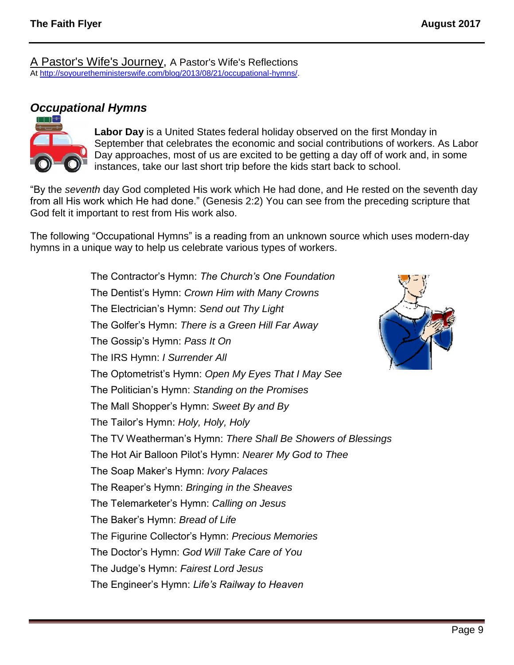[A Pastor's Wife's Journey,](http://soyouretheministerswife.com/blog/) A Pastor's Wife's Reflections At [http://soyouretheministerswife.com/blog/2013/08/21/occupational-hymns/.](http://soyouretheministerswife.com/blog/2013/08/21/occupational-hymns/)

# *Occupational Hymns*



**Labor Day** is a United States federal holiday observed on the first Monday in September that celebrates the economic and social contributions of workers. As Labor Day approaches, most of us are excited to be getting a day off of work and, in some instances, take our last short trip before the kids start back to school.

"By the *seventh* day God completed His work which He had done, and He rested on the seventh day from all His work which He had done." (Genesis 2:2) You can see from the preceding scripture that God felt it important to rest from His work also.

The following "Occupational Hymns" is a reading from an unknown source which uses modern-day hymns in a unique way to help us celebrate various types of workers.

> The Contractor's Hymn: *The Church's One Foundation* The Dentist's Hymn: *Crown Him with Many Crowns* The Electrician's Hymn: *Send out Thy Light* The Golfer's Hymn: *There is a Green Hill Far Away* The Gossip's Hymn: *Pass It On* The IRS Hymn: *I Surrender All* The Optometrist's Hymn: *Open My Eyes That I May See* The Politician's Hymn: *Standing on the Promises* The Mall Shopper's Hymn: *Sweet By and By* The Tailor's Hymn: *Holy, Holy, Holy* The TV Weatherman's Hymn: *There Shall Be Showers of Blessings* The Hot Air Balloon Pilot's Hymn: *Nearer My God to Thee* The Soap Maker's Hymn: *Ivory Palaces* The Reaper's Hymn: *Bringing in the Sheaves* The Telemarketer's Hymn: *Calling on Jesus* The Baker's Hymn: *Bread of Life* The Figurine Collector's Hymn: *Precious Memories* The Doctor's Hymn: *God Will Take Care of You* The Judge's Hymn: *Fairest Lord Jesus* The Engineer's Hymn: *Life's Railway to Heaven*